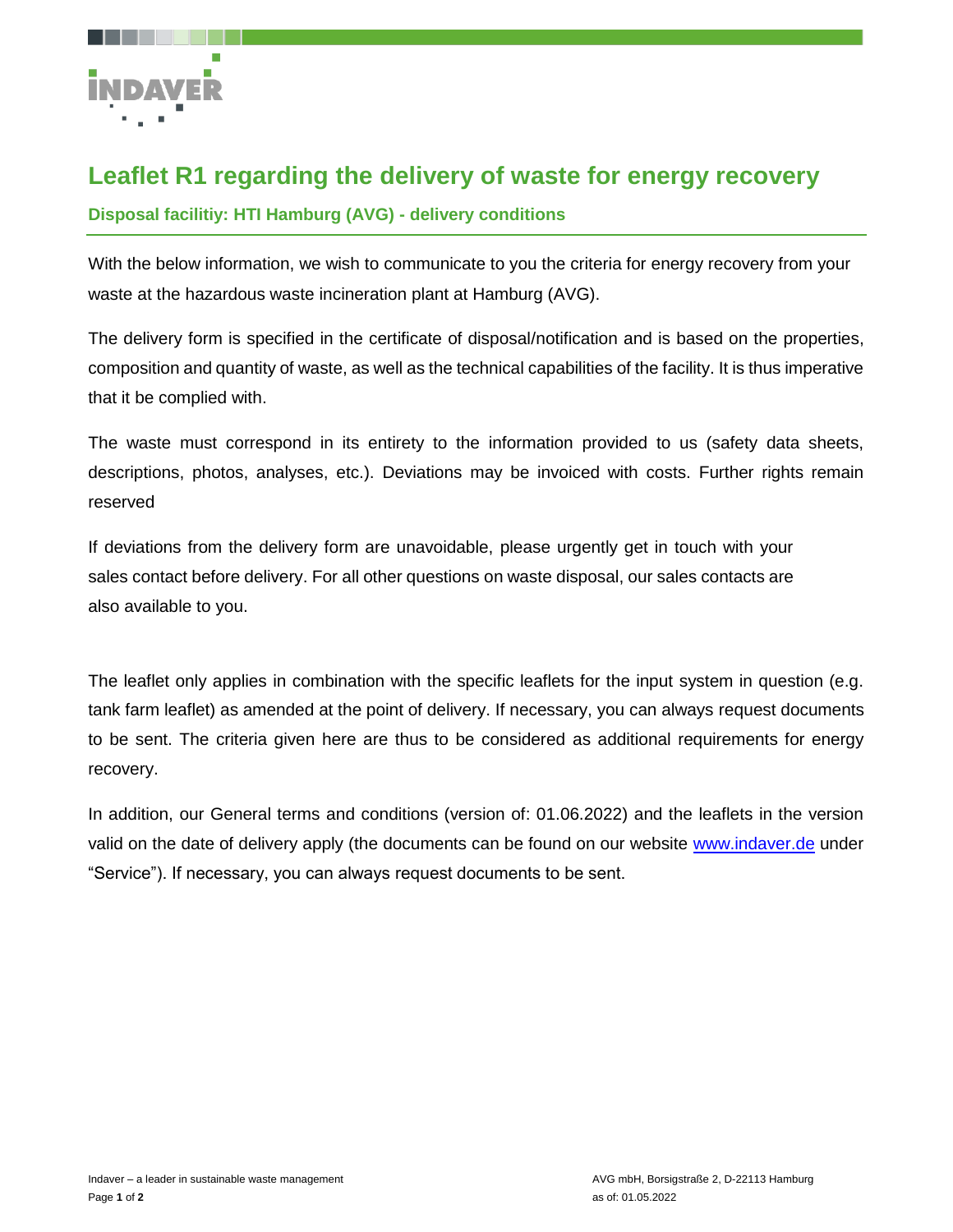

## **Leaflet R1 regarding the delivery of waste for energy recovery**

## **Disposal facilitiy: HTI Hamburg (AVG) - delivery conditions**

With the below information, we wish to communicate to you the criteria for energy recovery from your waste at the hazardous waste incineration plant at Hamburg (AVG).

The delivery form is specified in the certificate of disposal/notification and is based on the properties, composition and quantity of waste, as well as the technical capabilities of the facility. It is thus imperative that it be complied with.

The waste must correspond in its entirety to the information provided to us (safety data sheets, descriptions, photos, analyses, etc.). Deviations may be invoiced with costs. Further rights remain reserved

If deviations from the delivery form are unavoidable, please urgently get in touch with your sales contact before delivery. For all other questions on waste disposal, our sales contacts are also available to you.

The leaflet only applies in combination with the specific leaflets for the input system in question (e.g. tank farm leaflet) as amended at the point of delivery. If necessary, you can always request documents to be sent. The criteria given here are thus to be considered as additional requirements for energy recovery.

In addition, our General terms and conditions (version of: 01.06.2022) and the leaflets in the version valid on the date of delivery apply (the documents can be found on our website [www.indaver.de](http://www.indaver.de/) under "Service"). If necessary, you can always request documents to be sent.